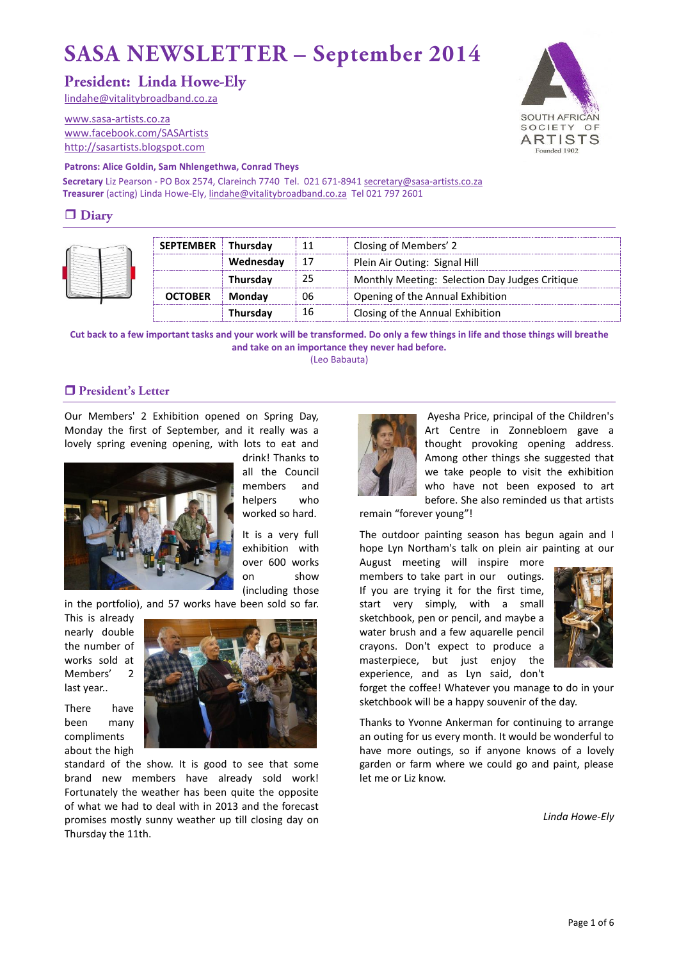# **SASA NEWSLETTER - September 2014**

## **President: Linda Howe-Elv**

[lindahe@vitalitybroadband.co.za](mailto:lindahe@vitalitybroadband.co.za)

[www.sasa-artists.co.za](http://www.sasa-artists.co.za/) [www.facebook.com/SASArtists](http://www.facebook.com/SASArtists) [http://sasartists.blogspot.com](http://sasartists.blogspot.com/)



### **Patrons: Alice Goldin, Sam Nhlengethwa, Conrad Theys**

Secretary Liz Pearson - PO Box 2574, Clareinch 7740 Tel. 021 671-894[1 secretary@sasa-artists.co.za](mailto:secretary@sasa-artists.co.za) **Treasurer** (acting) Linda Howe-Ely[, lindahe@vitalitybroadband.co.za](mailto:lindahe@vitalitybroadband.co.za) Tel 021 797 2601

## $\Box$  Diary

| <b>SEPTEMBER</b> Thursdav |               | 11 | Closing of Members' 2                          |  |  |
|---------------------------|---------------|----|------------------------------------------------|--|--|
|                           | Wednesday     |    | Plein Air Outing: Signal Hill                  |  |  |
|                           | Thursday      | 25 | Monthly Meeting: Selection Day Judges Critique |  |  |
| <b>OCTOBER</b>            | <b>Monday</b> | 06 | Opening of the Annual Exhibition               |  |  |
|                           | Thursday      | 16 | Closing of the Annual Exhibition               |  |  |

**Cut back to a few important tasks and your work will be transformed. Do only a few things in life and those things will breathe and take on an importance they never had before.**  (Leo Babauta)

### President's Letter

Our Members' 2 Exhibition opened on Spring Day, Monday the first of September, and it really was a lovely spring evening opening, with lots to eat and



drink! Thanks to all the Council members and helpers who worked so hard.

It is a very full exhibition with over 600 works on show (including those

in the portfolio), and 57 works have been sold so far.

This is already nearly double the number of works sold at Members' 2 last year..

There have been many compliments about the high



standard of the show. It is good to see that some brand new members have already sold work! Fortunately the weather has been quite the opposite of what we had to deal with in 2013 and the forecast promises mostly sunny weather up till closing day on Thursday the 11th.



Ayesha Price, principal of the Children's Art Centre in Zonnebloem gave a thought provoking opening address. Among other things she suggested that we take people to visit the exhibition who have not been exposed to art before. She also reminded us that artists

remain "forever young"!

The outdoor painting season has begun again and I hope Lyn Northam's talk on plein air painting at our

August meeting will inspire more members to take part in our outings. If you are trying it for the first time, start very simply, with a small sketchbook, pen or pencil, and maybe a water brush and a few aquarelle pencil crayons. Don't expect to produce a masterpiece, but just enjoy the experience, and as Lyn said, don't



forget the coffee! Whatever you manage to do in your sketchbook will be a happy souvenir of the day.

Thanks to Yvonne Ankerman for continuing to arrange an outing for us every month. It would be wonderful to have more outings, so if anyone knows of a lovely garden or farm where we could go and paint, please let me or Liz know.

*Linda Howe-Ely*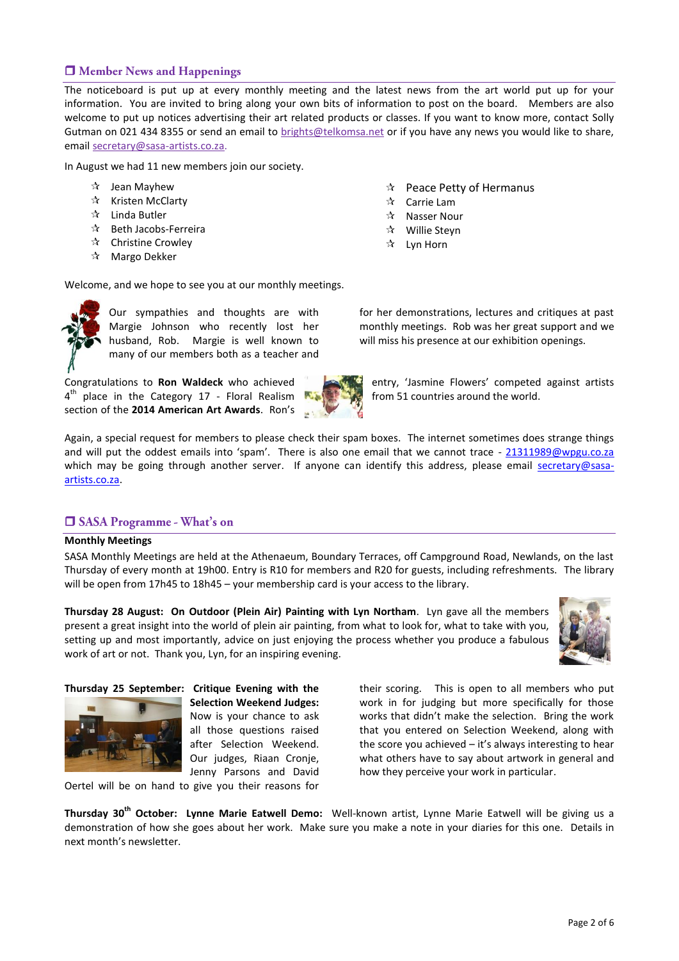### Member News and Happenings

The noticeboard is put up at every monthly meeting and the latest news from the art world put up for your information. You are invited to bring along your own bits of information to post on the board. Members are also welcome to put up notices advertising their art related products or classes. If you want to know more, contact Solly Gutman on 021 434 8355 or send an email to [brights@telkomsa.net](mailto:brights@telkomsa.net) or if you have any news you would like to share, email [secretary@sasa-artists.co.za.](mailto:secretary@sasa-artists.co.za)

In August we had 11 new members join our society.

- $\mathbf{\hat{x}}$  Jean Mayhew
- $\mathbf{\hat{x}}$  Kristen McClarty
- $\mathbf{\hat{x}}$  Linda Butler
- $\mathbf{\hat{x}}$  Beth Jacobs-Ferreira
- Christine Crowley
- $\mathbf{\hat{x}}$  Margo Dekker

 $\hat{x}$  Peace Petty of Hermanus

- $\mathbf{\hat{x}}$  Carrie Lam
- $\mathbf{\hat{x}}$  Nasser Nour
- Willie Steyn
- $\mathbf{\hat{x}}$  Lyn Horn

Welcome, and we hope to see you at our monthly meetings.



Our sympathies and thoughts are with Margie Johnson who recently lost her husband, Rob. Margie is well known to many of our members both as a teacher and

Congratulations to **Ron Waldeck** who achieved 4<sup>th</sup> place in the Category 17 - Floral Realism section of the **2014 American Art Awards**. Ron's for her demonstrations, lectures and critiques at past monthly meetings. Rob was her great support and we will miss his presence at our exhibition openings.

entry, 'Jasmine Flowers' competed against artists from 51 countries around the world.

Again, a special request for members to please check their spam boxes. The internet sometimes does strange things and will put the oddest emails into 'spam'. There is also one email that we cannot trace - [21311989@wpgu.co.za](mailto:21311989@wpgu.co.za) which may be going through another server. If anyone can identify this address, please email [secretary@sasa](mailto:secretary@sasa-artists.co.za)[artists.co.za.](mailto:secretary@sasa-artists.co.za)

### **SASA Programme - What's on**

#### **Monthly Meetings**

SASA Monthly Meetings are held at the Athenaeum, Boundary Terraces, off Campground Road, Newlands, on the last Thursday of every month at 19h00. Entry is R10 for members and R20 for guests, including refreshments. The library will be open from 17h45 to 18h45 – your membership card is your access to the library.

**Thursday 28 August: On Outdoor (Plein Air) Painting with Lyn Northam**. Lyn gave all the members present a great insight into the world of plein air painting, from what to look for, what to take with you, setting up and most importantly, advice on just enjoying the process whether you produce a fabulous work of art or not. Thank you, Lyn, for an inspiring evening.



**Thursday 25 September: Critique Evening with the Selection Weekend Judges:** Now is your chance to ask all those questions raised after Selection Weekend. Our judges, Riaan Cronje, Jenny Parsons and David

Oertel will be on hand to give you their reasons for

their scoring. This is open to all members who put work in for judging but more specifically for those works that didn't make the selection. Bring the work that you entered on Selection Weekend, along with the score you achieved – it's always interesting to hear what others have to say about artwork in general and how they perceive your work in particular.

**Thursday 30th October: Lynne Marie Eatwell Demo:** Well-known artist, Lynne Marie Eatwell will be giving us a demonstration of how she goes about her work. Make sure you make a note in your diaries for this one. Details in next month's newsletter.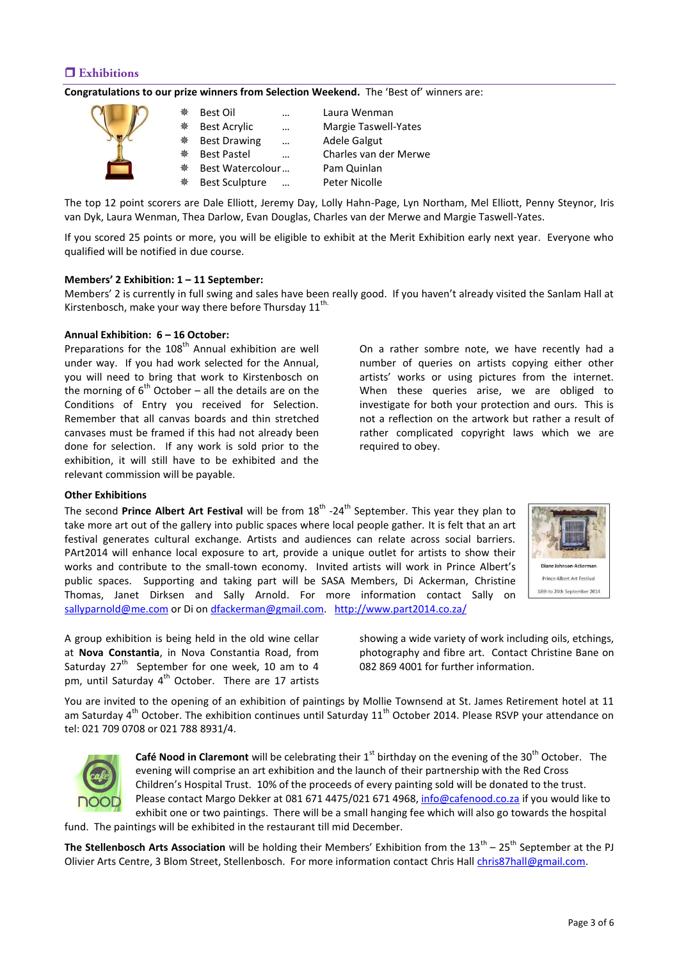### $\Box$  Exhibitions

#### **Congratulations to our prize winners from Selection Weekend.** The 'Best of' winners are:

| 豢 | Best Oil              | $\ddotsc$ | Laura Wenman          |
|---|-----------------------|-----------|-----------------------|
| 豢 | <b>Best Acrylic</b>   | $\ddotsc$ | Margie Taswell-Yates  |
| 楽 | <b>Best Drawing</b>   |           | Adele Galgut          |
| 楽 | <b>Best Pastel</b>    | $\ddotsc$ | Charles van der Merwe |
| 豢 | Best Watercolour      |           | Pam Quinlan           |
| 楽 | <b>Best Sculpture</b> | $\ddotsc$ | Peter Nicolle         |

The top 12 point scorers are Dale Elliott, Jeremy Day, Lolly Hahn-Page, Lyn Northam, Mel Elliott, Penny Steynor, Iris van Dyk, Laura Wenman, Thea Darlow, Evan Douglas, Charles van der Merwe and Margie Taswell-Yates.

If you scored 25 points or more, you will be eligible to exhibit at the Merit Exhibition early next year. Everyone who qualified will be notified in due course.

#### **Members' 2 Exhibition: 1 – 11 September:**

Members' 2 is currently in full swing and sales have been really good. If you haven't already visited the Sanlam Hall at Kirstenbosch, make your way there before Thursday  $11^{\text{th}}$ .

#### **Annual Exhibition: 6 – 16 October:**

Preparations for the  $108<sup>th</sup>$  Annual exhibition are well under way. If you had work selected for the Annual, you will need to bring that work to Kirstenbosch on the morning of  $6<sup>th</sup>$  October – all the details are on the Conditions of Entry you received for Selection. Remember that all canvas boards and thin stretched canvases must be framed if this had not already been done for selection. If any work is sold prior to the exhibition, it will still have to be exhibited and the relevant commission will be payable.

On a rather sombre note, we have recently had a number of queries on artists copying either other artists' works or using pictures from the internet. When these queries arise, we are obliged to investigate for both your protection and ours. This is not a reflection on the artwork but rather a result of rather complicated copyright laws which we are required to obey.

#### **Other Exhibitions**

The second Prince Albert Art Festival will be from 18<sup>th</sup> -24<sup>th</sup> September. This year they plan to take more art out of the gallery into public spaces where local people gather. It is felt that an art festival generates cultural exchange. Artists and audiences can relate across social barriers. PArt2014 will enhance local exposure to art, provide a unique outlet for artists to show their works and contribute to the small-town economy. Invited artists will work in Prince Albert's public spaces. Supporting and taking part will be SASA Members, Di Ackerman, Christine Thomas, Janet Dirksen and Sally Arnold. For more information contact Sally on [sallyparnold@me.com](mailto:sallyparnold@me.com) or Di on [dfackerman@gmail.com.](mailto:dfackerman@gmail.com) <http://www.part2014.co.za/>

A group exhibition is being held in the old wine cellar at **Nova Constantia**, in Nova Constantia Road, from Saturday  $27<sup>th</sup>$  September for one week, 10 am to 4 pm, until Saturday 4<sup>th</sup> October. There are 17 artists

Diane Johnson-Ackerman **Prince Albert Art Festival** 18th to 24th September 2014

showing a wide variety of work including oils, etchings, photography and fibre art. Contact Christine Bane on 082 869 4001 for further information.

You are invited to the opening of an exhibition of paintings by Mollie Townsend at St. James Retirement hotel at 11 am Saturday  $4^{th}$  October. The exhibition continues until Saturday 11<sup>th</sup> October 2014. Please RSVP your attendance on tel: 021 709 0708 or 021 788 8931/4.



**Café Nood in Claremont** will be celebrating their 1<sup>st</sup> birthday on the evening of the 30<sup>th</sup> October. The evening will comprise an art exhibition and the launch of their partnership with the Red Cross Children's Hospital Trust. 10% of the proceeds of every painting sold will be donated to the trust. Please contact Margo Dekker at 081 671 4475/021 671 4968[, info@cafenood.co.za](mailto:info@cafenood.co.za) if you would like to exhibit one or two paintings. There will be a small hanging fee which will also go towards the hospital

fund. The paintings will be exhibited in the restaurant till mid December.

**The Stellenbosch Arts Association** will be holding their Members' Exhibition from the 13<sup>th</sup> – 25<sup>th</sup> September at the PJ Olivier Arts Centre, 3 Blom Street, Stellenbosch. For more information contact Chris Hal[l chris87hall@gmail.com.](mailto:chris87hall@gmail.com)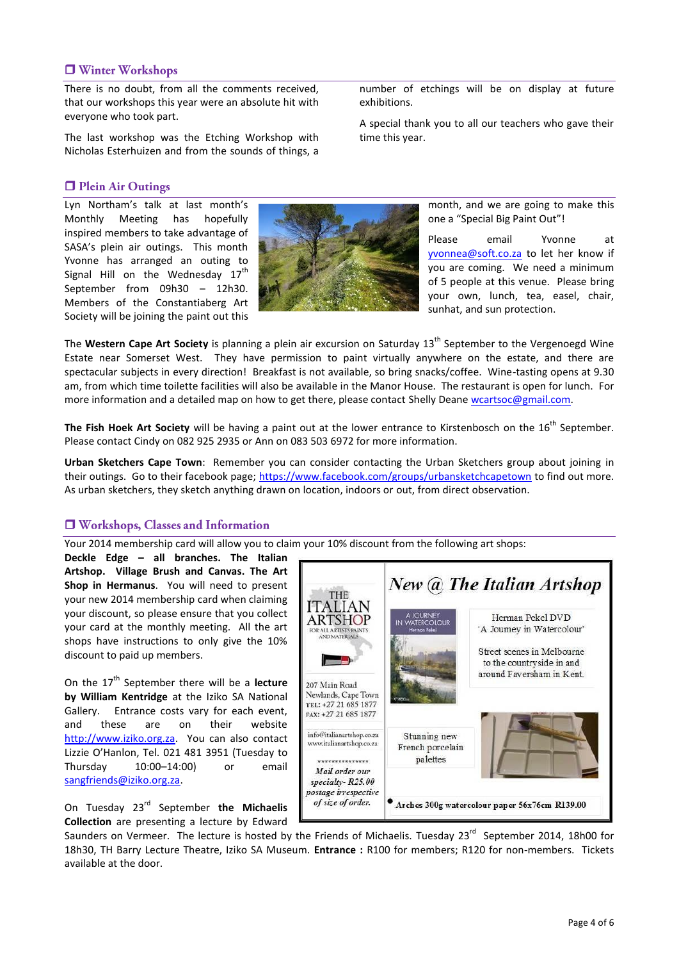### □ Winter Workshops

There is no doubt, from all the comments received, that our workshops this year were an absolute hit with everyone who took part.

The last workshop was the Etching Workshop with Nicholas Esterhuizen and from the sounds of things, a

### **D** Plein Air Outings

Lyn Northam's talk at last month's Monthly Meeting has hopefully inspired members to take advantage of SASA's plein air outings. This month Yvonne has arranged an outing to Signal Hill on the Wednesday  $17<sup>th</sup>$ September from 09h30 – 12h30. Members of the Constantiaberg Art Society will be joining the paint out this



number of etchings will be on display at future exhibitions.

A special thank you to all our teachers who gave their time this year.

> month, and we are going to make this one a "Special Big Paint Out"!

> Please email Yvonne at [yvonnea@soft.co.za](mailto:yvonnea@soft.co.za) to let her know if you are coming. We need a minimum of 5 people at this venue. Please bring your own, lunch, tea, easel, chair, sunhat, and sun protection.

The Western Cape Art Society is planning a plein air excursion on Saturday 13<sup>th</sup> September to the Vergenoegd Wine Estate near Somerset West. They have permission to paint virtually anywhere on the estate, and there are spectacular subjects in every direction! Breakfast is not available, so bring snacks/coffee. Wine-tasting opens at 9.30 am, from which time toilette facilities will also be available in the Manor House. The restaurant is open for lunch. For more information and a detailed map on how to get there, please contact Shelly Deane [wcartsoc@gmail.com.](mailto:wcartsoc@gmail.com)

The Fish Hoek Art Society will be having a paint out at the lower entrance to Kirstenbosch on the 16<sup>th</sup> September. Please contact Cindy on 082 925 2935 or Ann on 083 503 6972 for more information.

**Urban Sketchers Cape Town**: Remember you can consider contacting the Urban Sketchers group about joining in their outings. Go to their facebook page; <https://www.facebook.com/groups/urbansketchcapetown> to find out more. As urban sketchers, they sketch anything drawn on location, indoors or out, from direct observation.

### □ Workshops, Classes and Information

Your 2014 membership card will allow you to claim your 10% discount from the following art shops:

**Deckle Edge – all branches. The Italian Artshop. Village Brush and Canvas. The Art Shop in Hermanus**. You will need to present your new 2014 membership card when claiming your discount, so please ensure that you collect your card at the monthly meeting. All the art shops have instructions to only give the 10% discount to paid up members.

On the 17<sup>th</sup> September there will be a **lecture by William Kentridge** at the Iziko SA National Gallery. Entrance costs vary for each event, and these are on their website [http://www.iziko.org.za.](http://www.iziko.org.za/) You can also contact Lizzie O'Hanlon, Tel. 021 481 3951 (Tuesday to Thursday 10:00–14:00) or email [sangfriends@iziko.org.za.](mailto:sangfriends@iziko.org.za)

On Tuesday 23rd September **the Michaelis Collection** are presenting a lecture by Edward



Saunders on Vermeer. The lecture is hosted by the Friends of Michaelis. Tuesday 23<sup>rd</sup> September 2014, 18h00 for 18h30, TH Barry Lecture Theatre, Iziko SA Museum. **Entrance :** R100 for members; R120 for non-members. Tickets available at the door.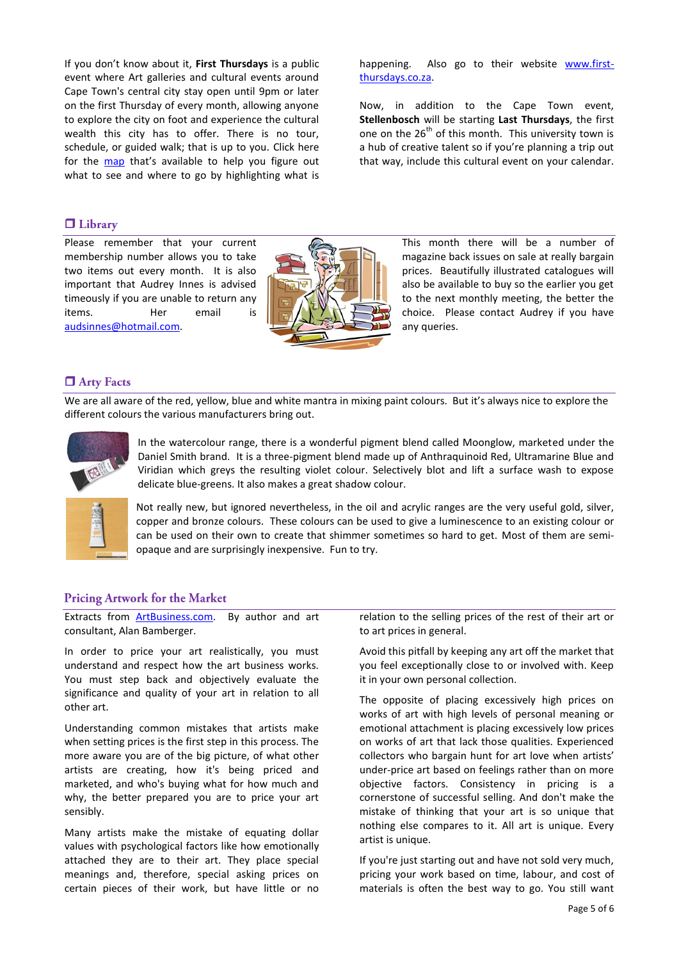If you don't know about it, **First Thursdays** is a public event where Art galleries and cultural events around Cape Town's central city stay open until 9pm or later on the first Thursday of every month, allowing anyone to explore the city on foot and experience the cultural wealth this city has to offer. There is no tour, schedule, or guided walk; that is up to you. Click here for the [map](http://www.first-thursdays.co.za/map/) that's available to help you figure out what to see and where to go by highlighting what is

### $\Box$  Library

Please remember that your current membership number allows you to take two items out every month. It is also important that Audrey Innes is advised timeously if you are unable to return any items. Her email is [audsinnes@hotmail.com.](mailto:audsinnes@hotmail.com)

happening. Also go to their website [www.first](http://www.first-thursdays.co.za/)[thursdays.co.za.](http://www.first-thursdays.co.za/)

Now, in addition to the Cape Town event, **Stellenbosch** will be starting **Last Thursdays**, the first one on the  $26<sup>th</sup>$  of this month. This university town is a hub of creative talent so if you're planning a trip out that way, include this cultural event on your calendar.

> This month there will be a number of magazine back issues on sale at really bargain prices. Beautifully illustrated catalogues will also be available to buy so the earlier you get to the next monthly meeting, the better the choice. Please contact Audrey if you have any queries.

### **O** Arty Facts

We are all aware of the red, yellow, blue and white mantra in mixing paint colours. But it's always nice to explore the different colours the various manufacturers bring out.



In the watercolour range, there is a wonderful pigment blend called Moonglow, marketed under the Daniel Smith brand. It is a three-pigment blend made up of Anthraquinoid Red, Ultramarine Blue and Viridian which greys the resulting violet colour. Selectively blot and lift a surface wash to expose delicate blue-greens. It also makes a great shadow colour.



Not really new, but ignored nevertheless, in the oil and acrylic ranges are the very useful gold, silver, copper and bronze colours. These colours can be used to give a luminescence to an existing colour or can be used on their own to create that shimmer sometimes so hard to get. Most of them are semiopaque and are surprisingly inexpensive. Fun to try.

#### **Pricing Artwork for the Market**

Extracts from [ArtBusiness.com.](http://www.artbusiness.com/expert.html) By author and art consultant, Alan Bamberger.

In order to price your art realistically, you must understand and respect how the art business works. You must step back and objectively evaluate the significance and quality of your art in relation to all other art.

Understanding common mistakes that artists make when setting prices is the first step in this process. The more aware you are of the big picture, of what other artists are creating, how it's being priced and marketed, and who's buying what for how much and why, the better prepared you are to price your art sensibly.

Many artists make the mistake of equating dollar values with psychological factors like how emotionally attached they are to their art. They place special meanings and, therefore, special asking prices on certain pieces of their work, but have little or no

relation to the selling prices of the rest of their art or to art prices in general.

Avoid this pitfall by keeping any art off the market that you feel exceptionally close to or involved with. Keep it in your own personal collection.

The opposite of placing excessively high prices on works of art with high levels of personal meaning or emotional attachment is placing excessively low prices on works of art that lack those qualities. Experienced collectors who bargain hunt for art love when artists' under-price art based on feelings rather than on more objective factors. Consistency in pricing is a cornerstone of successful selling. And don't make the mistake of thinking that your art is so unique that nothing else compares to it. All art is unique. Every artist is unique.

If you're just starting out and have not sold very much, pricing your work based on time, labour, and cost of materials is often the best way to go. You still want